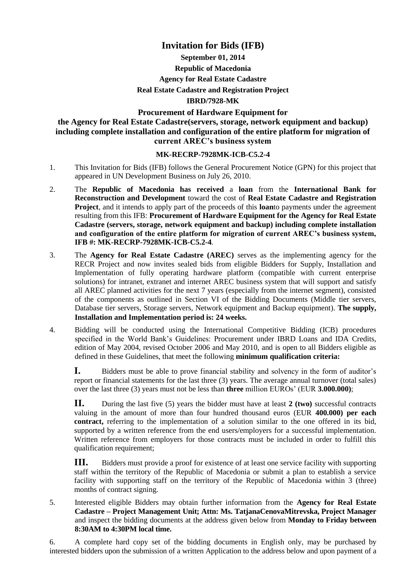## **Invitation for Bids (IFB)**

# **September 01, 2014 Republic of Macedonia Agency for Real Estate Cadastre Real Estate Cadastre and Registration Project IBRD/7928-MK**

### **Procurement of Hardware Equipment for**

### **the Agency for Real Estate Cadastre(servers, storage, network equipment and backup) including complete installation and configuration of the entire platform for migration of current AREC's business system**

### **MK-RECRP-7928MK-ICB-C5.2-4**

- 1. This Invitation for Bids (IFB) follows the General Procurement Notice (GPN) for this project that appeared in UN Development Business on July 26, 2010.
- 2. The **Republic of Macedonia has received** a **loan** from the **International Bank for Reconstruction and Development** toward the cost of **Real Estate Cadastre and Registration Project**, and it intends to apply part of the proceeds of this **loan**to payments under the agreement resulting from this IFB: **Procurement of Hardware Equipment for the Agency for Real Estate Cadastre (servers, storage, network equipment and backup) including complete installation and configuration of the entire platform for migration of current AREC's business system, IFB #: MK-RECRP-7928MK-ICB-C5.2-4***.*
- 3. The **Agency for Real Estate Cadastre (AREC)** serves as the implementing agency for the RECR Project and now invites sealed bids from eligible Bidders for Supply, Installation and Implementation of fully operating hardware platform (compatible with current enterprise solutions) for intranet, extranet and internet AREC business system that will support and satisfy all AREC planned activities for the next 7 years (especially from the internet segment), consisted of the components as outlined in Section VI of the Bidding Documents (Middle tier servers, Database tier servers, Storage servers, Network equipment and Backup equipment). **The supply, Installation and Implementation period is: 24 weeks.**
- 4. Bidding will be conducted using the International Competitive Bidding (ICB) procedures specified in the World Bank's Guidelines: Procurement under IBRD Loans and IDA Credits, edition of May 2004, revised October 2006 and May 2010, and is open to all Bidders eligible as defined in these Guidelines, that meet the following **minimum qualification criteria:**

**I.** Bidders must be able to prove financial stability and solvency in the form of auditor's report or financial statements for the last three (3) years. The average annual turnover (total sales) over the last three (3) years must not be less than **three** million EUROs' (EUR **3.000.000)**;

**II.** During the last five (5) years the bidder must have at least **2 (two)** successful contracts valuing in the amount of more than four hundred thousand euros (EUR **400.000) per each contract,** referring to the implementation of a solution similar to the one offered in its bid, supported by a written reference from the end users/employers for a successful implementation. Written reference from employers for those contracts must be included in order to fulfill this qualification requirement;

**III.** Bidders must provide a proof for existence of at least one service facility with supporting staff within the territory of the Republic of Macedonia or submit a plan to establish a service facility with supporting staff on the territory of the Republic of Macedonia within 3 (three) months of contract signing.

5. Interested eligible Bidders may obtain further information from the **Agency for Real Estate Cadastre – Project Management Unit; Attn: Ms. TatjanaCenovaMitrevska, Project Manager** and inspect the bidding documents at the address given below from **Monday to Friday between 8:30AM to 4:30PM local time.**

6. A complete hard copy set of the bidding documents in English only, may be purchased by interested bidders upon the submission of a written Application to the address below and upon payment of a